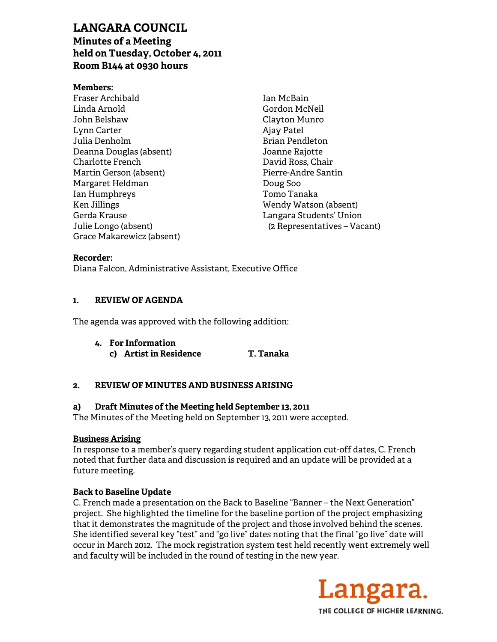# **LANGARA COUNCIL**

**Minutes of a Meeting** held on Tuesday, October 4, 2011 Room B144 at 0930 hours

#### **Members:**

Fraser Archibald Linda Arnold John Belshaw Lynn Carter Julia Denholm Deanna Douglas (absent) Charlotte French Martin Gerson (absent) Margaret Heldman Ian Humphreys Ken Jillings Gerda Krause Julie Longo (absent) Grace Makarewicz (absent) Ian McBain Gordon McNeil Clayton Munro Ajay Patel Brian Pendleton Joanne Rajotte David Ross, Chair Pierre-Andre Santin Doug Soo Tomo Tanaka Wendy Watson (absent) Langara Students' Union (2 Representatives – Vacant)

#### Recorder:

Diana Falcon, Administrative Assistant, Executive Office

#### $\mathbf{1}$ . **REVIEW OF AGENDA**

The agenda was approved with the following addition:

#### 4. For Information

c) Artist in Residence T. Tanaka

#### $2.$ **REVIEW OF MINUTES AND BUSINESS ARISING**

#### a) Draft Minutes of the Meeting held September 13, 2011

The Minutes of the Meeting held on September 13, 2011 were accepted.

### **Business Arising**

In response to a member's query regarding student application cut-off dates, C. French noted that further data and discussion is required and an update will be provided at a future meeting.

### **Back to Baseline Update**

C. French made a presentation on the Back to Baseline "Banner – the Next Generation" project. She highlighted the timeline for the baseline portion of the project emphasizing that it demonstrates the magnitude of the project and those involved behind the scenes. She identified several key "test" and "go live" dates noting that the final "go live" date will occur in March 2012. The mock registration system test held recently went extremely well and faculty will be included in the round of testing in the new year.

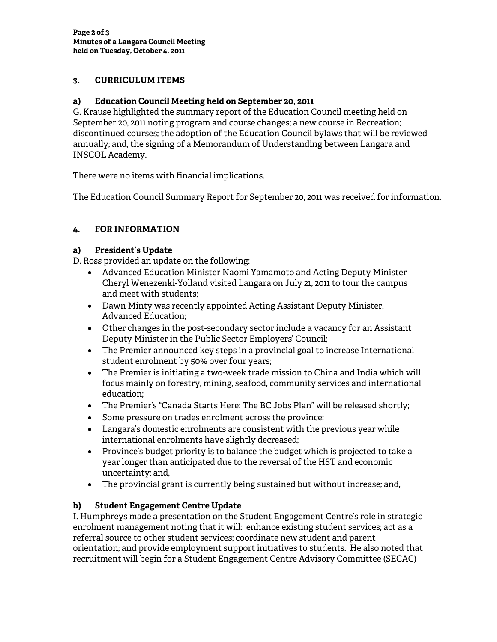## **3. CURRICULUM ITEMS**

### **a) Education Council Meeting held on September 20, 2011**

G. Krause highlighted the summary report of the Education Council meeting held on September 20, 2011 noting program and course changes; a new course in Recreation; discontinued courses; the adoption of the Education Council bylaws that will be reviewed annually; and, the signing of a Memorandum of Understanding between Langara and INSCOL Academy.

There were no items with financial implications.

The Education Council Summary Report for September 20, 2011 was received for information.

# **4. FOR INFORMATION**

### **a) President's Update**

D. Ross provided an update on the following:

- Advanced Education Minister Naomi Yamamoto and Acting Deputy Minister Cheryl Wenezenki-Yolland visited Langara on July 21, 2011 to tour the campus and meet with students;
- Dawn Minty was recently appointed Acting Assistant Deputy Minister, Advanced Education;
- Other changes in the post-secondary sector include a vacancy for an Assistant Deputy Minister in the Public Sector Employers' Council;
- The Premier announced key steps in a provincial goal to increase International student enrolment by 50% over four years;
- The Premier is initiating a two-week trade mission to China and India which will focus mainly on forestry, mining, seafood, community services and international education;
- The Premier's "Canada Starts Here: The BC Jobs Plan" will be released shortly;
- Some pressure on trades enrolment across the province;
- Langara's domestic enrolments are consistent with the previous year while international enrolments have slightly decreased;
- Province's budget priority is to balance the budget which is projected to take a year longer than anticipated due to the reversal of the HST and economic uncertainty; and,
- The provincial grant is currently being sustained but without increase; and,

### **b) Student Engagement Centre Update**

I. Humphreys made a presentation on the Student Engagement Centre's role in strategic enrolment management noting that it will: enhance existing student services; act as a referral source to other student services; coordinate new student and parent orientation; and provide employment support initiatives to students. He also noted that recruitment will begin for a Student Engagement Centre Advisory Committee (SECAC)